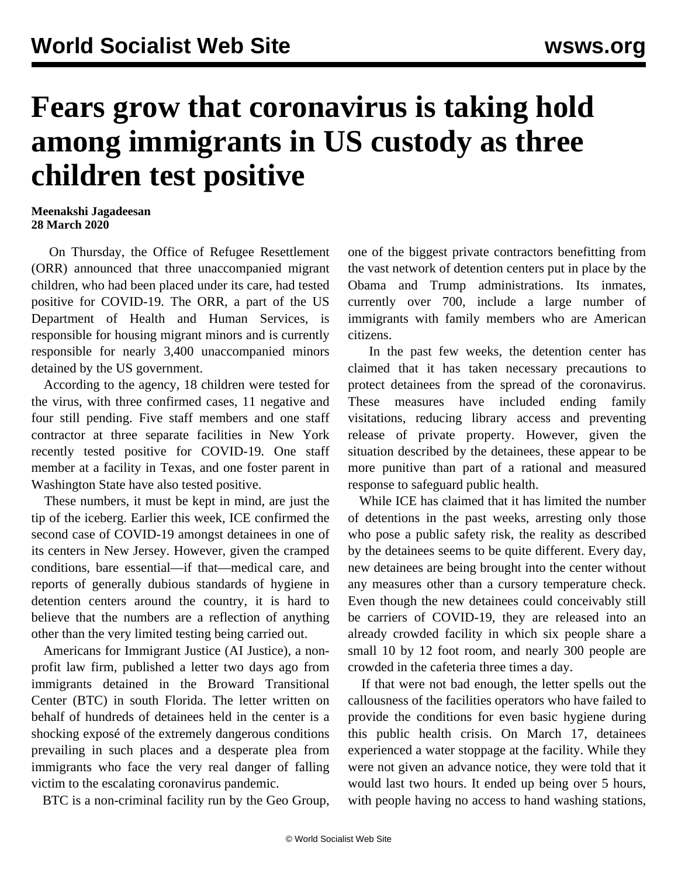## **Fears grow that coronavirus is taking hold among immigrants in US custody as three children test positive**

## **Meenakshi Jagadeesan 28 March 2020**

 On Thursday, the Office of Refugee Resettlement (ORR) announced that three unaccompanied migrant children, who had been placed under its care, had tested positive for COVID-19. The ORR, a part of the US Department of Health and Human Services, is responsible for housing migrant minors and is currently responsible for nearly 3,400 unaccompanied minors detained by the US government.

 According to the agency, 18 children were tested for the virus, with three confirmed cases, 11 negative and four still pending. Five staff members and one staff contractor at three separate facilities in New York recently tested positive for COVID-19. One staff member at a facility in Texas, and one foster parent in Washington State have also tested positive.

 These numbers, it must be kept in mind, are just the tip of the iceberg. Earlier this week, ICE confirmed the second case of COVID-19 amongst detainees in one of its centers in New Jersey. However, given the cramped conditions, bare essential—if that—medical care, and reports of generally dubious standards of hygiene in detention centers around the country, it is hard to believe that the numbers are a reflection of anything other than the very limited testing being carried out.

 Americans for Immigrant Justice (AI Justice), a nonprofit law firm, published a letter two days ago from immigrants detained in the Broward Transitional Center (BTC) in south Florida. The letter written on behalf of hundreds of detainees held in the center is a shocking exposé of the extremely dangerous conditions prevailing in such places and a desperate plea from immigrants who face the very real danger of falling victim to the escalating coronavirus pandemic.

BTC is a non-criminal facility run by the Geo Group,

one of the biggest private contractors benefitting from the vast network of detention centers put in place by the Obama and Trump administrations. Its inmates, currently over 700, include a large number of immigrants with family members who are American citizens.

 In the past few weeks, the detention center has claimed that it has taken necessary precautions to protect detainees from the spread of the coronavirus. These measures have included ending family visitations, reducing library access and preventing release of private property. However, given the situation described by the detainees, these appear to be more punitive than part of a rational and measured response to safeguard public health.

 While ICE has claimed that it has limited the number of detentions in the past weeks, arresting only those who pose a public safety risk, the reality as described by the detainees seems to be quite different. Every day, new detainees are being brought into the center without any measures other than a cursory temperature check. Even though the new detainees could conceivably still be carriers of COVID-19, they are released into an already crowded facility in which six people share a small 10 by 12 foot room, and nearly 300 people are crowded in the cafeteria three times a day.

 If that were not bad enough, the letter spells out the callousness of the facilities operators who have failed to provide the conditions for even basic hygiene during this public health crisis. On March 17, detainees experienced a water stoppage at the facility. While they were not given an advance notice, they were told that it would last two hours. It ended up being over 5 hours, with people having no access to hand washing stations,